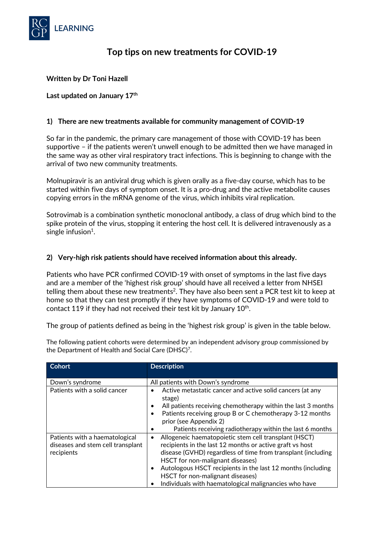

# **Top tips on new treatments for COVID-19**

## **Written by Dr Toni Hazell**

#### **Last updated on January 17th**

#### **1) There are new treatments available for community management of COVID-19**

So far in the pandemic, the primary care management of those with COVID-19 has been supportive – if the patients weren't unwell enough to be admitted then we have managed in the same way as other viral respiratory tract infections. This is beginning to change with the arrival of two new community treatments.

Molnupiravir is an antiviral drug which is given orally as a five-day course, which has to be started within five days of symptom onset. It is a pro-drug and the active metabolite causes copying errors in the mRNA genome of the virus, which inhibits viral replication.

Sotrovimab is a combination synthetic monoclonal antibody, a class of drug which bind to the spike protein of the virus, stopping it entering the host cell. It is delivered intravenously as a single infusion<sup>1</sup>.

#### **2) Very-high risk patients should have received information about this already.**

Patients who have PCR confirmed COVID-19 with onset of symptoms in the last five days and are a member of the 'highest risk group' should have all received a letter from NHSEI telling them about these new treatments<sup>2</sup>. They have also been sent a PCR test kit to keep at home so that they can test promptly if they have symptoms of COVID-19 and were told to contact 119 if they had not received their test kit by January  $10<sup>th</sup>$ .

The group of patients defined as being in the 'highest risk group' is given in the table below.

The following patient cohorts were determined by an independent advisory group commissioned by the Department of Health and Social Care (DHSC)7.

| <b>Cohort</b>                     | <b>Description</b>                                                                                                                                                                                                        |
|-----------------------------------|---------------------------------------------------------------------------------------------------------------------------------------------------------------------------------------------------------------------------|
| Down's syndrome                   | All patients with Down's syndrome                                                                                                                                                                                         |
| Patients with a solid cancer      | Active metastatic cancer and active solid cancers (at any<br>stage)<br>All patients receiving chemotherapy within the last 3 months<br>Patients receiving group B or C chemotherapy 3-12 months<br>prior (see Appendix 2) |
|                                   | Patients receiving radiotherapy within the last 6 months                                                                                                                                                                  |
| Patients with a haematological    | Allogeneic haematopoietic stem cell transplant (HSCT)<br>٠                                                                                                                                                                |
| diseases and stem cell transplant | recipients in the last 12 months or active graft vs host                                                                                                                                                                  |
| recipients                        | disease (GVHD) regardless of time from transplant (including                                                                                                                                                              |
|                                   | HSCT for non-malignant diseases)                                                                                                                                                                                          |
|                                   | Autologous HSCT recipients in the last 12 months (including                                                                                                                                                               |
|                                   | HSCT for non-malignant diseases)                                                                                                                                                                                          |
|                                   | Individuals with haematological malignancies who have                                                                                                                                                                     |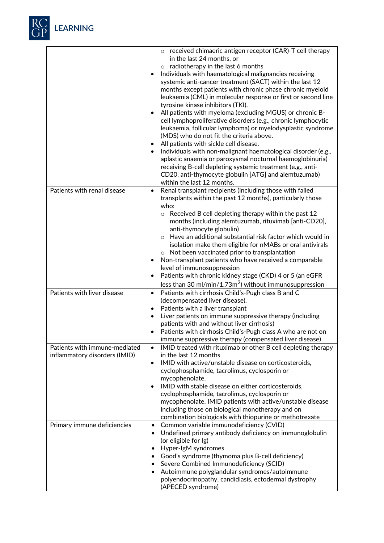

|                                                                | $\circ$ received chimaeric antigen receptor (CAR)-T cell therapy<br>in the last 24 months, or<br>radiotherapy in the last 6 months<br>$\circ$<br>Individuals with haematological malignancies receiving<br>٠<br>systemic anti-cancer treatment (SACT) within the last 12<br>months except patients with chronic phase chronic myeloid<br>leukaemia (CML) in molecular response or first or second line<br>tyrosine kinase inhibitors (TKI).<br>All patients with myeloma (excluding MGUS) or chronic B-<br>$\bullet$<br>cell lymphoproliferative disorders (e.g., chronic lymphocytic<br>leukaemia, follicular lymphoma) or myelodysplastic syndrome<br>(MDS) who do not fit the criteria above.<br>All patients with sickle cell disease.<br>٠<br>Individuals with non-malignant haematological disorder (e.g.,<br>$\bullet$<br>aplastic anaemia or paroxysmal nocturnal haemoglobinuria)<br>receiving B-cell depleting systemic treatment (e.g., anti-<br>CD20, anti-thymocyte globulin [ATG] and alemtuzumab)<br>within the last 12 months. |
|----------------------------------------------------------------|------------------------------------------------------------------------------------------------------------------------------------------------------------------------------------------------------------------------------------------------------------------------------------------------------------------------------------------------------------------------------------------------------------------------------------------------------------------------------------------------------------------------------------------------------------------------------------------------------------------------------------------------------------------------------------------------------------------------------------------------------------------------------------------------------------------------------------------------------------------------------------------------------------------------------------------------------------------------------------------------------------------------------------------------|
| Patients with renal disease                                    | Renal transplant recipients (including those with failed<br>$\bullet$                                                                                                                                                                                                                                                                                                                                                                                                                                                                                                                                                                                                                                                                                                                                                                                                                                                                                                                                                                          |
|                                                                | transplants within the past 12 months), particularly those<br>who:<br>$\circ$ Received B cell depleting therapy within the past 12<br>months (including alemtuzumab, rituximab [anti-CD20],<br>anti-thymocyte globulin)<br>Have an additional substantial risk factor which would in<br>$\Omega$<br>isolation make them eligible for nMABs or oral antivirals<br>Not been vaccinated prior to transplantation<br>Non-transplant patients who have received a comparable<br>٠<br>level of immunosuppression<br>Patients with chronic kidney stage (CKD) 4 or 5 (an eGFR<br>$\bullet$<br>less than 30 ml/min/1.73m <sup>2</sup> ) without immunosuppression                                                                                                                                                                                                                                                                                                                                                                                      |
| Patients with liver disease                                    | Patients with cirrhosis Child's-Pugh class B and C<br>$\bullet$                                                                                                                                                                                                                                                                                                                                                                                                                                                                                                                                                                                                                                                                                                                                                                                                                                                                                                                                                                                |
|                                                                | (decompensated liver disease).<br>Patients with a liver transplant<br>٠<br>Liver patients on immune suppressive therapy (including<br>$\bullet$<br>patients with and without liver cirrhosis)<br>Patients with cirrhosis Child's-Pugh class A who are not on<br>٠<br>immune suppressive therapy (compensated liver disease)                                                                                                                                                                                                                                                                                                                                                                                                                                                                                                                                                                                                                                                                                                                    |
| Patients with immune-mediated<br>inflammatory disorders (IMID) | IMID treated with rituximab or other B cell depleting therapy<br>$\bullet$<br>in the last 12 months<br>IMID with active/unstable disease on corticosteroids,<br>٠<br>cyclophosphamide, tacrolimus, cyclosporin or<br>mycophenolate.<br>IMID with stable disease on either corticosteroids,<br>٠<br>cyclophosphamide, tacrolimus, cyclosporin or<br>mycophenolate. IMID patients with active/unstable disease<br>including those on biological monotherapy and on<br>combination biologicals with thiopurine or methotrexate                                                                                                                                                                                                                                                                                                                                                                                                                                                                                                                    |
| Primary immune deficiencies                                    | Common variable immunodeficiency (CVID)<br>$\bullet$<br>Undefined primary antibody deficiency on immunoglobulin<br>$\bullet$<br>(or eligible for Ig)<br>Hyper-IgM syndromes<br>$\bullet$<br>Good's syndrome (thymoma plus B-cell deficiency)<br>٠<br>Severe Combined Immunodeficiency (SCID)<br>٠<br>Autoimmune polyglandular syndromes/autoimmune<br>٠<br>polyendocrinopathy, candidiasis, ectodermal dystrophy<br>(APECED syndrome)                                                                                                                                                                                                                                                                                                                                                                                                                                                                                                                                                                                                          |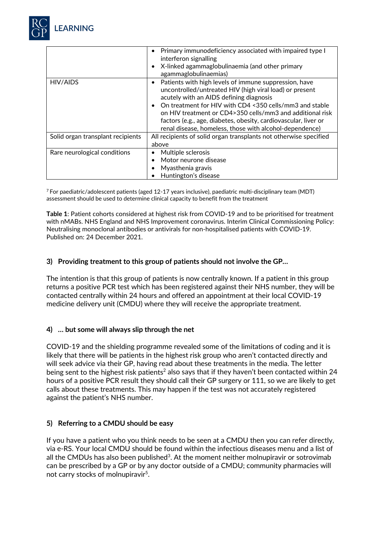

|                                   | Primary immunodeficiency associated with impaired type I<br>interferon signalling<br>X-linked agammaglobulinaemia (and other primary<br>٠<br>agammaglobulinaemias)                                                                                                                                                                                                                                                                          |
|-----------------------------------|---------------------------------------------------------------------------------------------------------------------------------------------------------------------------------------------------------------------------------------------------------------------------------------------------------------------------------------------------------------------------------------------------------------------------------------------|
| HIV/AIDS                          | Patients with high levels of immune suppression, have<br>$\bullet$<br>uncontrolled/untreated HIV (high viral load) or present<br>acutely with an AIDS defining diagnosis<br>On treatment for HIV with CD4 <350 cells/mm3 and stable<br>$\bullet$<br>on HIV treatment or CD4>350 cells/mm3 and additional risk<br>factors (e.g., age, diabetes, obesity, cardiovascular, liver or<br>renal disease, homeless, those with alcohol-dependence) |
| Solid organ transplant recipients | All recipients of solid organ transplants not otherwise specified<br>above                                                                                                                                                                                                                                                                                                                                                                  |
| Rare neurological conditions      | Multiple sclerosis<br>Motor neurone disease<br>Myasthenia gravis<br>Huntington's disease                                                                                                                                                                                                                                                                                                                                                    |

 $^7$  For paediatric/adolescent patients (aged 12-17 years inclusive), paediatric multi-disciplinary team (MDT) assessment should be used to determine clinical capacity to benefit from the treatment

**Table 1**: Patient cohorts considered at highest risk from COVID-19 and to be prioritised for treatment with nMABs. NHS England and NHS Improvement coronavirus. Interim Clinical Commissioning Policy: Neutralising monoclonal antibodies or antivirals for non-hospitalised patients with COVID-19. Published on: 24 December 2021.

#### **3) Providing treatment to this group of patients should not involve the GP…**

The intention is that this group of patients is now centrally known. If a patient in this group returns a positive PCR test which has been registered against their NHS number, they will be contacted centrally within 24 hours and offered an appointment at their local COVID-19 medicine delivery unit (CMDU) where they will receive the appropriate treatment.

#### **4) … but some will always slip through the net**

COVID-19 and the shielding programme revealed some of the limitations of coding and it is likely that there will be patients in the highest risk group who aren't contacted directly and will seek advice via their GP, having read about these treatments in the media. The letter being sent to the highest risk patients<sup>2</sup> also says that if they haven't been contacted within 24 hours of a positive PCR result they should call their GP surgery or 111, so we are likely to get calls about these treatments. This may happen if the test was not accurately registered against the patient's NHS number.

#### **5) Referring to a CMDU should be easy**

If you have a patient who you think needs to be seen at a CMDU then you can refer directly, via e-RS. Your local CMDU should be found within the infectious diseases menu and a list of all the CMDUs has also been published<sup>3</sup>. At the moment neither molnupiravir or sotrovimab can be prescribed by a GP or by any doctor outside of a CMDU; community pharmacies will not carry stocks of molnupiravir<sup>5</sup>.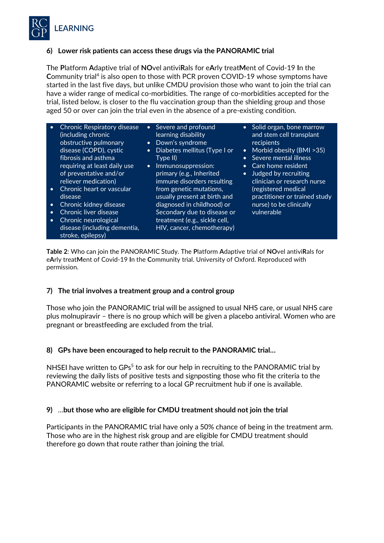

## **6) Lower risk patients can access these drugs via the PANORAMIC trial**

The **P**latform **A**daptive trial of **NO**vel antivi**R**als for e**A**rly treat**M**ent of Covid-19 **I**n the **C**ommunity trial4 is also open to those with PCR proven COVID-19 whose symptoms have started in the last five days, but unlike CMDU provision those who want to join the trial can have a wider range of medical co-morbidities. The range of co-morbidities accepted for the trial, listed below, is closer to the flu vaccination group than the shielding group and those aged 50 or over can join the trial even in the absence of a pre-existing condition.

- Chronic Respiratory disease (including chronic obstructive pulmonary disease (COPD), cystic fibrosis and asthma requiring at least daily use of preventative and/or reliever medication) • Chronic heart or vascular
- disease
- Chronic kidney disease
- Chronic liver disease
- Chronic neurological disease (including dementia, stroke, epilepsy)
- Severe and profound learning disability • Down's syndrome
- Diabetes mellitus (Type I or Type II)
- Immunosuppression: primary (e.g., Inherited immune disorders resulting from genetic mutations, usually present at birth and diagnosed in childhood) or Secondary due to disease or treatment (e.g., sickle cell, HIV, cancer, chemotherapy)
- Solid organ, bone marrow and stem cell transplant recipients
- Morbid obesity (BMI >35)
- Severe mental illness
- Care home resident
- Judged by recruiting clinician or research nurse (registered medical practitioner or trained study nurse) to be clinically vulnerable

**Table 2**: Who can join the PANORAMIC Study. The **P**latform **A**daptive trial of **NO**vel antivi**R**als for e**A**rly treat**M**ent of Covid-19 **I**n the **C**ommunity trial. University of Oxford. Reproduced with permission.

# **7) The trial involves a treatment group and a control group**

Those who join the PANORAMIC trial will be assigned to usual NHS care, or usual NHS care plus molnupiravir – there is no group which will be given a placebo antiviral. Women who are pregnant or breastfeeding are excluded from the trial.

# **8) GPs have been encouraged to help recruit to the PANORAMIC trial…**

NHSEI have written to GPs<sup>5</sup> to ask for our help in recruiting to the PANORAMIC trial by reviewing the daily lists of positive tests and signposting those who fit the criteria to the PANORAMIC website or referring to a local GP recruitment hub if one is available.

#### **9)** …**but those who are eligible for CMDU treatment should not join the trial**

Participants in the PANORAMIC trial have only a 50% chance of being in the treatment arm. Those who are in the highest risk group and are eligible for CMDU treatment should therefore go down that route rather than joining the trial.